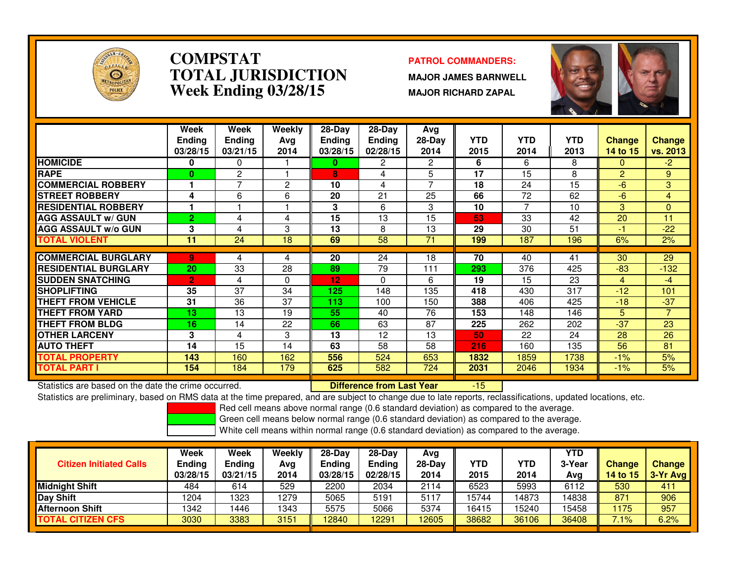

### **COMPSTAT PATROL COMMANDERS: TOTAL JURISDICTIONWeek Ending 03/28/15**

 **MAJOR JAMES BARNWELL MAJOR RICHARD ZAPAL**



|                             | Week<br><b>Ending</b><br>03/28/15 | Week<br><b>Ending</b><br>03/21/15 | Weekly<br>Ava<br>2014 | $28-Day$<br><b>Ending</b><br>03/28/15 | $28-Day$<br><b>Ending</b><br>02/28/15 | Avg<br>28-Day<br>2014 | <b>YTD</b><br>2015 | <b>YTD</b><br>2014       | <b>YTD</b><br>2013 | <b>Change</b><br>14 to 15 | <b>Change</b><br>vs. 2013 |
|-----------------------------|-----------------------------------|-----------------------------------|-----------------------|---------------------------------------|---------------------------------------|-----------------------|--------------------|--------------------------|--------------------|---------------------------|---------------------------|
| <b>HOMICIDE</b>             | 0                                 | 0                                 |                       | 0                                     | 2                                     | 2                     | 6                  | 6                        | 8                  | $\Omega$                  | -2.                       |
| <b>RAPE</b>                 | $\bf{0}$                          | $\overline{c}$                    |                       | 8                                     | 4                                     | 5                     | 17                 | 15                       | 8                  | $\overline{2}$            | 9                         |
| <b>COMMERCIAL ROBBERY</b>   |                                   | $\overline{ }$                    | $\overline{2}$        | 10                                    | 4                                     | $\overline{ }$        | 18                 | 24                       | 15                 | $-6$                      | 3                         |
| <b>STREET ROBBERY</b>       | 4                                 | 6                                 | 6                     | 20                                    | 21                                    | 25                    | 66                 | 72                       | 62                 | $-6$                      | 4                         |
| <b>RESIDENTIAL ROBBERY</b>  |                                   |                                   |                       | 3                                     | 6                                     | 3                     | 10                 | $\overline{\phantom{a}}$ | 10                 | 3                         | 0                         |
| <b>AGG ASSAULT w/ GUN</b>   | $\overline{2}$                    | 4                                 | 4                     | 15                                    | 13                                    | 15                    | 53                 | 33                       | 42                 | 20                        | 11                        |
| <b>AGG ASSAULT w/o GUN</b>  | 3                                 | 4                                 | 3                     | 13                                    | 8                                     | 13                    | 29                 | 30                       | 51                 | -1                        | $-22$                     |
| <b>TOTAL VIOLENT</b>        | 11                                | 24                                | 18                    | 69                                    | 58                                    | 71                    | 199                | 187                      | 196                | 6%                        | 2%                        |
|                             |                                   |                                   |                       |                                       |                                       |                       |                    |                          |                    |                           |                           |
| <b>COMMERCIAL BURGLARY</b>  | 9.                                | 4                                 | 4                     | 20                                    | 24                                    | 18                    | 70                 | 40                       | 41                 | 30                        | 29                        |
| <b>RESIDENTIAL BURGLARY</b> | 20                                | 33                                | 28                    | 89                                    | 79                                    | 111                   | 293                | 376                      | 425                | $-83$                     | $-132$                    |
| <b>SUDDEN SNATCHING</b>     | $\overline{2}$                    | 4                                 | 0                     | 12                                    | $\mathbf{0}$                          | 6                     | 19                 | 15                       | 23                 | 4                         | $-4$                      |
| <b>SHOPLIFTING</b>          | 35                                | 37                                | 34                    | 125                                   | 148                                   | 135                   | 418                | 430                      | 317                | $-12$                     | 101                       |
| THEFT FROM VEHICLE          | 31                                | 36                                | 37                    | 113                                   | 100                                   | 150                   | 388                | 406                      | 425                | $-18$                     | $-37$                     |
| <b>THEFT FROM YARD</b>      | 13                                | 13                                | 19                    | 55                                    | 40                                    | 76                    | 153                | 148                      | 146                | 5.                        | 7                         |
| <b>THEFT FROM BLDG</b>      | 16                                | 14                                | 22                    | 66                                    | 63                                    | 87                    | 225                | 262                      | 202                | $-37$                     | 23                        |
| <b>OTHER LARCENY</b>        | 3                                 | 4                                 | 3                     | 13                                    | 12                                    | 13                    | 50                 | 22                       | 24                 | 28                        | 26                        |
| <b>AUTO THEFT</b>           | 14                                | 15                                | 14                    | 63                                    | 58                                    | 58                    | 216                | 160                      | 135                | 56                        | 81                        |
| <b>TOTAL PROPERTY</b>       | 143                               | 160                               | 162                   | 556                                   | 524                                   | 653                   | 1832               | 1859                     | 1738               | $-1%$                     | 5%                        |
| <b>TOTAL PART I</b>         | 154                               | 184                               | 179                   | 625                                   | 582                                   | 724                   | 2031               | 2046                     | 1934               | $-1\%$                    | 5%                        |

Statistics are based on the date the crime occurred. **Difference from Last Year** 

Statistics are based on the date the crime occurred. **Interpree the Supersed Conference from Last Year Fighter 15 T**<br>Statistics are preliminary, based on RMS data at the time prepared, and are subject to change due to late

Red cell means above normal range (0.6 standard deviation) as compared to the average.

Green cell means below normal range (0.6 standard deviation) as compared to the average.

| <b>Citizen Initiated Calls</b> | Week<br><b>Ending</b><br>03/28/15 | Week<br><b>Ending</b><br>03/21/15 | Weekly<br>Avg<br>2014 | $28-Dav$<br><b>Ending</b><br>03/28/15 | $28-Day$<br><b>Ending</b><br>02/28/15 | Avg<br>$28-Day$<br>2014 | YTD<br>2015 | YTD<br>2014 | <b>YTD</b><br>3-Year<br>Avg | <b>Change</b><br>14 to $15$ | <b>Change</b><br>$3-Yr$ Avg |
|--------------------------------|-----------------------------------|-----------------------------------|-----------------------|---------------------------------------|---------------------------------------|-------------------------|-------------|-------------|-----------------------------|-----------------------------|-----------------------------|
| <b>Midnight Shift</b>          | 484                               | 614                               | 529                   | 2200                                  | 2034                                  | 2114                    | 6523        | 5993        | 6112                        | 530                         | 411                         |
| Day Shift                      | 1204                              | 323                               | 1279                  | 5065                                  | 5191                                  | 5117                    | 15744       | 14873       | 14838                       | 871                         | 906                         |
| <b>Afternoon Shift</b>         | 1342                              | 446                               | 1343                  | 5575                                  | 5066                                  | 5374                    | 16415       | 5240        | 15458                       | 1175                        | 957                         |
| <b>TOTAL CITIZEN CFS</b>       | 3030                              | 3383                              | 3151                  | 12840                                 | 2291                                  | 12605                   | 38682       | 36106       | 36408                       | $.1\%$                      | 6.2%                        |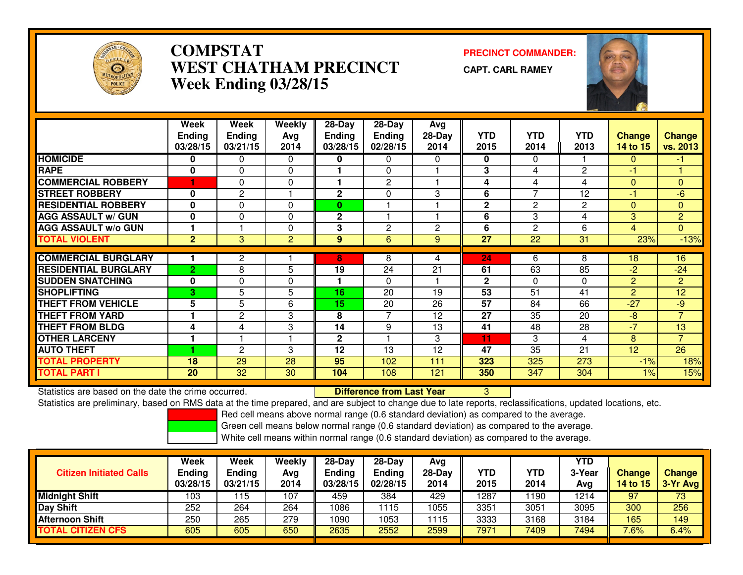

# **COMPSTAT PRECINCT COMMANDER: WEST CHATHAM PRECINCTWeek Ending 03/28/15**

**CAPT. CARL RAMEY**



|                             | Week           | Week           | Weekly         | $28 - Day$    | $28 - Day$    | Avg          |              |                |                 |                 |                |
|-----------------------------|----------------|----------------|----------------|---------------|---------------|--------------|--------------|----------------|-----------------|-----------------|----------------|
|                             | <b>Ending</b>  | <b>Ending</b>  | Avg            | <b>Ending</b> | <b>Ending</b> | 28-Day       | <b>YTD</b>   | <b>YTD</b>     | <b>YTD</b>      | <b>Change</b>   | <b>Change</b>  |
|                             | 03/28/15       | 03/21/15       | 2014           | 03/28/15      | 02/28/15      | 2014         | 2015         | 2014           | 2013            | 14 to 15        | vs. 2013       |
| <b>HOMICIDE</b>             | $\bf{0}$       | 0              | $\Omega$       | 0             | $\mathbf{0}$  | 0            | 0            | 0              |                 | $\Omega$        | -1.            |
| <b>RAPE</b>                 | 0              | $\Omega$       | 0              |               | $\Omega$      |              | 3            | 4              | 2               | -1              |                |
| <b>COMMERCIAL ROBBERY</b>   |                | $\Omega$       | $\Omega$       |               | 2             |              | 4            | 4              | 4               | $\Omega$        | $\mathbf{0}$   |
| <b>STREET ROBBERY</b>       | 0              | $\overline{2}$ |                | $\mathbf{2}$  | 0             | 3            | 6            | 7              | 12              | $-1$            | $-6$           |
| <b>RESIDENTIAL ROBBERY</b>  | $\bf{0}$       | $\Omega$       | $\Omega$       | $\mathbf{0}$  |               |              | $\mathbf{2}$ | $\overline{c}$ | 2               | $\Omega$        | $\Omega$       |
| <b>AGG ASSAULT w/ GUN</b>   | $\mathbf{0}$   | $\Omega$       | $\Omega$       | $\mathbf{2}$  |               |              | 6            | 3              | 4               | $\mathbf{3}$    | $\overline{2}$ |
| <b>AGG ASSAULT w/o GUN</b>  |                |                | $\Omega$       | 3             | $\mathbf{2}$  | $\mathbf{2}$ | 6            | $\overline{2}$ | 6               | $\overline{4}$  | $\mathbf{0}$   |
| <b>TOTAL VIOLENT</b>        | $\overline{2}$ | 3              | $\overline{2}$ | 9             | 6             | 9            | 27           | 22             | $\overline{31}$ | 23%             | $-13%$         |
|                             |                |                |                |               |               |              |              |                |                 |                 |                |
| <b>COMMERCIAL BURGLARY</b>  |                | $\overline{2}$ |                | 8             | 8             | 4            | 24           | 6              | 8               | 18              | 16             |
| <b>RESIDENTIAL BURGLARY</b> | $\overline{2}$ | 8              | 5              | 19            | 24            | 21           | 61           | 63             | 85              | $-2$            | $-24$          |
| <b>SUDDEN SNATCHING</b>     | $\mathbf{0}$   | $\Omega$       | $\Omega$       |               | $\Omega$      |              | $\mathbf{2}$ | $\Omega$       | $\Omega$        | $\overline{2}$  | $\overline{2}$ |
| <b>SHOPLIFTING</b>          | З.             | 5              | 5              | 16            | 20            | 19           | 53           | 51             | 41              | $\overline{2}$  | 12             |
| <b>THEFT FROM VEHICLE</b>   | 5              | 5              | 6              | 15            | 20            | 26           | 57           | 84             | 66              | $-27$           | $-9$           |
| <b>THEFT FROM YARD</b>      |                | $\overline{2}$ | 3              | 8             | 7             | 12           | 27           | 35             | 20              | $-8$            | $\overline{7}$ |
| <b>THEFT FROM BLDG</b>      | 4              | 4              | 3              | 14            | 9             | 13           | 41           | 48             | 28              | $-7$            | 13             |
| <b>OTHER LARCENY</b>        |                |                |                | $\mathbf{2}$  |               | 3            | 11           | 3              | 4               | 8               | $\overline{7}$ |
| <b>AUTO THEFT</b>           |                | $\mathbf{2}$   | 3              | 12            | 13            | 12           | 47           | 35             | 21              | 12 <sup>2</sup> | 26             |
| <b>TOTAL PROPERTY</b>       | 18             | 29             | 28             | 95            | 102           | 111          | 323          | 325            | 273             | $-1%$           | 18%            |
| <b>TOTAL PART I</b>         | 20             | 32             | 30             | 104           | 108           | 121          | 350          | 347            | 304             | $1\%$           | 15%            |

Statistics are based on the date the crime occurred. **Difference from Last Year** Statistics are based on the date the crime occurred.<br>Statistics are preliminary, based on RMS data at the time prepared, and are subject to change due to late reports, reclassifications, updated locations, etc.

Red cell means above normal range (0.6 standard deviation) as compared to the average.

Green cell means below normal range (0.6 standard deviation) as compared to the average.

| <b>Citizen Initiated Calls</b> | Week<br><b>Ending</b><br>03/28/15 | Week<br><b>Ending</b><br>03/21/15 | Weekly<br>Avg<br>2014 | $28-Dav$<br>Ending<br>03/28/15 | $28-Day$<br><b>Ending</b><br>02/28/15 | Avg<br>$28-Day$<br>2014 | YTD<br>2015 | <b>YTD</b><br>2014 | YTD<br>3-Year<br>Avg | <b>Change</b><br>14 to 15 | <b>Change</b><br>3-Yr Avg |
|--------------------------------|-----------------------------------|-----------------------------------|-----------------------|--------------------------------|---------------------------------------|-------------------------|-------------|--------------------|----------------------|---------------------------|---------------------------|
| <b>Midnight Shift</b>          | 103                               | 15                                | 107                   | 459                            | 384                                   | 429                     | 1287        | 1190               | 1214                 | 97                        | 73                        |
| <b>Day Shift</b>               | 252                               | 264                               | 264                   | 1086                           | 115                                   | 1055                    | 3351        | 3051               | 3095                 | 300                       | 256                       |
| <b>Afternoon Shift</b>         | 250                               | 265                               | 279                   | 1090                           | 1053                                  | 1115                    | 3333        | 3168               | 3184                 | 165                       | 149                       |
| <b>TOTAL CITIZEN CFS</b>       | 605                               | 605                               | 650                   | 2635                           | 2552                                  | 2599                    | 7971        | 7409               | 7494                 | 7.6%                      | 6.4%                      |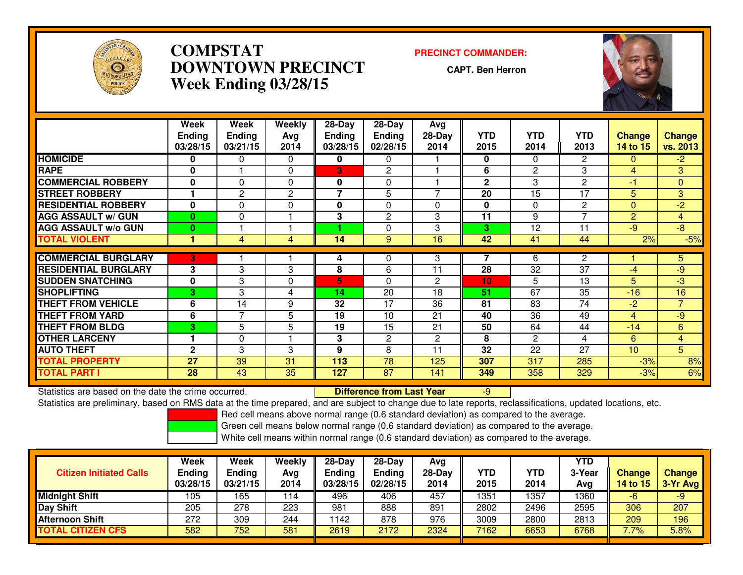

# **COMPSTAT PRECINCT COMMANDER: DOWNTOWN PRECINCTWeek Ending 03/28/15**

**CAPT. Ben Herron**



|                             | Week           | <b>Week</b>    | Weekly      | $28 - Day$     | 28-Day        | <b>Avg</b>   |              |              |                |                 |                |
|-----------------------------|----------------|----------------|-------------|----------------|---------------|--------------|--------------|--------------|----------------|-----------------|----------------|
|                             | <b>Endina</b>  | <b>Ending</b>  | Avg         | <b>Ending</b>  | <b>Ending</b> | $28-Day$     | YTD          | <b>YTD</b>   | <b>YTD</b>     | <b>Change</b>   | <b>Change</b>  |
|                             | 03/28/15       | 03/21/15       | 2014        | 03/28/15       | 02/28/15      | 2014         | 2015         | 2014         | 2013           | <b>14 to 15</b> | vs. 2013       |
| <b>HOMICIDE</b>             | $\bf{0}$       | 0              | $\Omega$    | 0              | 0             |              | 0            | 0            | $\overline{2}$ | $\Omega$        | $-2$           |
| <b>RAPE</b>                 | $\mathbf{0}$   |                | $\Omega$    | 3              | 2             |              | 6            | 2            | 3              | 4               | 3              |
| <b>COMMERCIAL ROBBERY</b>   | $\bf{0}$       | $\Omega$       | $\Omega$    | 0              | $\Omega$      |              | $\mathbf{2}$ | 3            | 2              | -1              | $\Omega$       |
| <b>STREET ROBBERY</b>       |                | 2              | 2           | $\overline{7}$ | 5             | 7            | 20           | 15           | 17             | 5.              | 3              |
| <b>RESIDENTIAL ROBBERY</b>  | 0              | $\mathbf 0$    | $\mathbf 0$ | 0              | $\Omega$      | $\Omega$     | 0            | $\Omega$     | $\mathbf{2}$   | $\Omega$        | $-2$           |
| <b>AGG ASSAULT w/ GUN</b>   | $\mathbf{0}$   | 0              |             | 3              | 2             | 3            | 11           | 9            | $\overline{7}$ | $\overline{2}$  | $\overline{4}$ |
| <b>AGG ASSAULT w/o GUN</b>  | $\bf{0}$       |                |             |                | 0             | 3            | 3            | 12           | 11             | $-9$            | $-8$           |
| <b>TOTAL VIOLENT</b>        |                | 4              | 4           | 14             | 9             | 16           | 42           | 41           | 44             | 2%              | $-5%$          |
|                             |                |                |             |                |               |              |              |              |                |                 |                |
| <b>COMMERCIAL BURGLARY</b>  | 3              |                |             | 4              | 0             | 3            |              | 6            | 2              |                 | 5.             |
| <b>RESIDENTIAL BURGLARY</b> | 3              | 3              | 3           | 8              | 6             | 11           | 28           | 32           | 37             | $-4$            | $-9$           |
| <b>SUDDEN SNATCHING</b>     | $\mathbf 0$    | 3              | $\Omega$    | 5              | $\Omega$      | $\mathbf{2}$ | 10           | 5            | 13             | 5               | $-3$           |
| <b>SHOPLIFTING</b>          | 3              | 3              | 4           | 14             | 20            | 18           | 51           | 67           | 35             | $-16$           | 16             |
| <b>THEFT FROM VEHICLE</b>   | 6              | 14             | 9           | 32             | 17            | 36           | 81           | 83           | 74             | $-2$            | $\overline{7}$ |
| <b>THEFT FROM YARD</b>      | 6              | $\overline{7}$ | 5           | 19             | 10            | 21           | 40           | 36           | 49             | 4               | $-9$           |
| <b>THEFT FROM BLDG</b>      | 3 <sup>1</sup> | 5              | 5           | 19             | 15            | 21           | 50           | 64           | 44             | $-14$           | 6              |
| <b>OTHER LARCENY</b>        |                | $\Omega$       |             | 3              | 2             | $\mathbf{2}$ | 8            | $\mathbf{2}$ | 4              | 6               | $\overline{4}$ |
| <b>AUTO THEFT</b>           | $\mathbf{2}$   | 3              | 3           | 9              | 8             | 11           | 32           | 22           | 27             | 10 <sup>1</sup> | 5              |
| <b>TOTAL PROPERTY</b>       | 27             | 39             | 31          | 113            | 78            | 125          | 307          | 317          | 285            | $-3%$           | 8%             |
| <b>TOTAL PART I</b>         | 28             | 43             | 35          | 127            | 87            | 141          | 349          | 358          | 329            | $-3%$           | 6%             |

Statistics are based on the date the crime occurred. **Difference from Last Year**  -9Statistics are preliminary, based on RMS data at the time prepared, and are subject to change due to late reports, reclassifications, updated locations, etc.

Red cell means above normal range (0.6 standard deviation) as compared to the average.

Green cell means below normal range (0.6 standard deviation) as compared to the average.

| <b>Citizen Initiated Calls</b> | Week<br><b>Ending</b><br>03/28/15 | Week<br><b>Ending</b><br>03/21/15 | Weekly<br>Avg<br>2014 | $28-Dav$<br>Ending<br>03/28/15 | 28-Day<br><b>Ending</b><br>02/28/15 | Avg<br>$28$ -Day<br>2014 | YTD<br>2015 | YTD<br>2014 | YTD<br>3-Year<br>Avg | Change<br>14 to 15 | Change<br>3-Yr Avg |
|--------------------------------|-----------------------------------|-----------------------------------|-----------------------|--------------------------------|-------------------------------------|--------------------------|-------------|-------------|----------------------|--------------------|--------------------|
| <b>Midnight Shift</b>          | ۱05                               | 165                               | 114                   | 496                            | 406                                 | 457                      | 1351        | 1357        | 1360                 | -6                 | -9                 |
| <b>Day Shift</b>               | 205                               | 278                               | 223                   | 981                            | 888                                 | 891                      | 2802        | 2496        | 2595                 | 306                | 207                |
| Afternoon Shift                | 272                               | 309                               | 244                   | 142                            | 878                                 | 976                      | 3009        | 2800        | 2813                 | 209                | 196                |
| <b>TOTAL CITIZEN CFS</b>       | 582                               | 752                               | 581                   | 2619                           | 2172                                | 2324                     | 7162        | 6653        | 6768                 | 7.7%               | 5.8%               |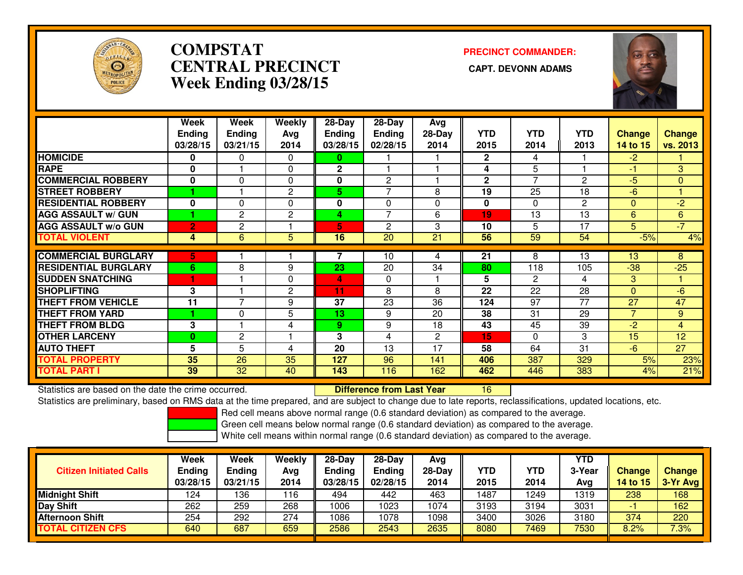

# **COMPSTATCENTRAL PRECINCT Week Ending 03/28/15**

**PRECINCT COMMANDER:**



|                             | Week           | Week           | Weekly         | 28-Day        | 28-Day         | Avg      |              |                |            |                |                 |
|-----------------------------|----------------|----------------|----------------|---------------|----------------|----------|--------------|----------------|------------|----------------|-----------------|
|                             | <b>Ending</b>  | <b>Ending</b>  | Avg            | <b>Ending</b> | <b>Ending</b>  | $28-Day$ | <b>YTD</b>   | <b>YTD</b>     | <b>YTD</b> | <b>Change</b>  | <b>Change</b>   |
|                             | 03/28/15       | 03/21/15       | 2014           | 03/28/15      | 02/28/15       | 2014     | 2015         | 2014           | 2013       | 14 to 15       | vs. 2013        |
| <b>HOMICIDE</b>             | 0              | 0              | $\Omega$       | 0             |                |          | $\mathbf{2}$ | 4              |            | $-2$           |                 |
| <b>RAPE</b>                 | $\bf{0}$       |                | $\Omega$       | $\mathbf{2}$  |                |          | 4            | 5              |            | $\blacksquare$ | 3               |
| <b>COMMERCIAL ROBBERY</b>   | $\bf{0}$       | $\Omega$       | 0              | 0             | 2              |          | $\mathbf{2}$ | $\overline{ }$ | 2          | -5             | $\mathbf{0}$    |
| <b>STREET ROBBERY</b>       |                |                | 2              | 5.            | 7              | 8        | 19           | 25             | 18         | -6             |                 |
| <b>RESIDENTIAL ROBBERY</b>  | 0              | 0              | 0              | 0             | 0              | 0        | 0            | $\Omega$       | 2          | $\mathbf{0}$   | $-2$            |
| <b>AGG ASSAULT w/ GUN</b>   |                | $\overline{2}$ | $\overline{2}$ | 4             | 7              | 6        | 19           | 13             | 13         | 6              | 6               |
| <b>AGG ASSAULT w/o GUN</b>  | $\overline{2}$ | $\overline{c}$ |                | 5             | $\overline{2}$ | 3        | 10           | 5              | 17         | 5              | $-7$            |
| <b>TOTAL VIOLENT</b>        | 4              | 6              | 5              | 16            | 20             | 21       | 56           | 59             | 54         | $-5%$          | 4%              |
| <b>COMMERCIAL BURGLARY</b>  | 5.             |                |                |               | 10             | 4        | 21           | 8              | 13         | 13             | 8               |
| <b>RESIDENTIAL BURGLARY</b> | 6              | 8              | 9              | 23            | 20             | 34       | 80           | 118            | 105        | $-38$          | $-25$           |
|                             |                |                |                |               |                |          |              |                |            |                |                 |
| <b>SUDDEN SNATCHING</b>     |                |                | $\Omega$       | 4             | 0              |          | 5            | $\overline{2}$ | 4          | 3              |                 |
| <b>SHOPLIFTING</b>          | 3              |                | $\overline{2}$ | 11            | 8              | 8        | 22           | 22             | 28         | $\Omega$       | $-6$            |
| <b>THEFT FROM VEHICLE</b>   | 11             | 7              | 9              | 37            | 23             | 36       | 124          | 97             | 77         | 27             | 47              |
| <b>THEFT FROM YARD</b>      |                | 0              | 5              | 13            | 9              | 20       | 38           | 31             | 29         |                | 9               |
| <b>THEFT FROM BLDG</b>      | 3              |                | 4              | 9             | 9              | 18       | 43           | 45             | 39         | $-2$           | $\overline{4}$  |
| <b>OTHER LARCENY</b>        | $\bf{0}$       | $\mathbf{2}$   |                | 3             | 4              | 2        | 15           | $\Omega$       | 3          | 15             | 12              |
| <b>AUTO THEFT</b>           | 5              | 5              | 4              | 20            | 13             | 17       | 58           | 64             | 31         | $-6$           | $\overline{27}$ |
| <b>TOTAL PROPERTY</b>       | 35             | 26             | 35             | 127           | 96             | 141      | 406          | 387            | 329        | 5%             | 23%             |
| <b>TOTAL PART I</b>         | 39             | 32             | 40             | 143           | 116            | 162      | 462          | 446            | 383        | 4%             | 21%             |

Statistics are based on the date the crime occurred. **Difference from Last Year** 

Statistics are based on the date the crime occurred.<br>Statistics are preliminary, based on RMS data at the time prepared, and are subject to change due to late reports, reclassifications, updated locations, etc.

Red cell means above normal range (0.6 standard deviation) as compared to the average.

Green cell means below normal range (0.6 standard deviation) as compared to the average.

| <b>Citizen Initiated Calls</b> | Week<br><b>Ending</b><br>03/28/15 | Week<br><b>Ending</b><br>03/21/15 | Weekly<br>Avg<br>2014 | 28-Day<br><b>Ending</b><br>03/28/15 | $28-Dav$<br><b>Ending</b><br>02/28/15 | Ava<br>$28$ -Day<br>2014 | <b>YTD</b><br>2015 | YTD<br>2014 | YTD<br>3-Year<br>Avg | <b>Change</b><br>14 to $15$ | <b>Change</b><br>3-Yr Avg |
|--------------------------------|-----------------------------------|-----------------------------------|-----------------------|-------------------------------------|---------------------------------------|--------------------------|--------------------|-------------|----------------------|-----------------------------|---------------------------|
| Midnight Shift                 | 124                               | 136                               | 116                   | 494                                 | 442                                   | 463                      | 1487               | 1249        | 1319                 | 238                         | 168                       |
| Day Shift                      | 262                               | 259                               | 268                   | 1006                                | 023                                   | 1074                     | 3193               | 3194        | 3031                 |                             | 162                       |
| Afternoon Shift                | 254                               | 292                               | 274                   | 1086                                | 078                                   | 1098                     | 3400               | 3026        | 3180                 | 374                         | 220                       |
| <b>TOTAL CITIZEN CFS</b>       | 640                               | 687                               | 659                   | 2586                                | 2543                                  | 2635                     | 8080               | 7469        | 7530                 | 8.2%                        | 7.3%                      |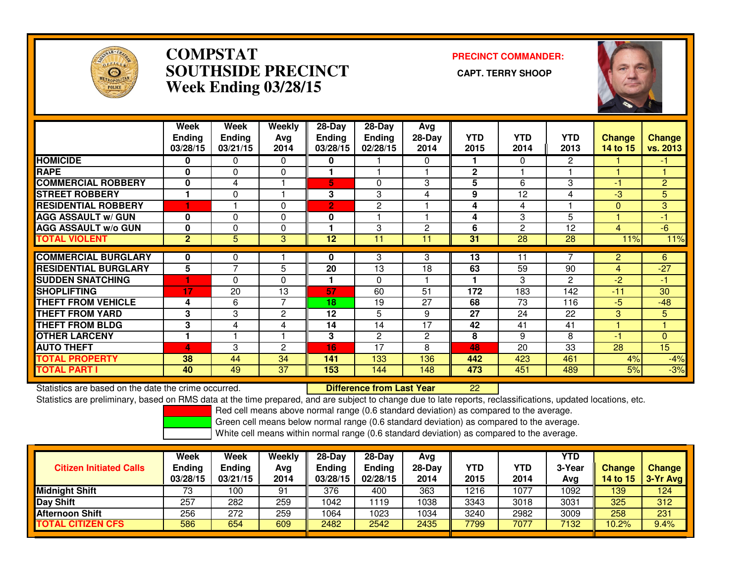

### **COMPSTAT PRECINCT COMMANDER: SOUTHSIDE PRECINCT CAPT. TERRY SHOOPWeek Ending 03/28/15**



|                             | Week<br><b>Ending</b><br>03/28/15 | Week<br><b>Ending</b><br>03/21/15 | Weekly<br>Avg<br>2014 | $28$ -Day<br><b>Ending</b><br>03/28/15 | $28-Day$<br>Ending<br>02/28/15 | Avg<br>28-Day<br>2014 | <b>YTD</b><br>2015 | <b>YTD</b><br>2014 | <b>YTD</b><br>2013 | <b>Change</b><br><b>14 to 15</b> | Change<br>vs. 2013 |
|-----------------------------|-----------------------------------|-----------------------------------|-----------------------|----------------------------------------|--------------------------------|-----------------------|--------------------|--------------------|--------------------|----------------------------------|--------------------|
| <b>HOMICIDE</b>             | 0                                 | 0                                 | $\Omega$              | 0                                      |                                | 0                     |                    | 0                  | $\overline{2}$     |                                  | $-1$               |
| <b>RAPE</b>                 | $\bf{0}$                          | $\Omega$                          | $\Omega$              |                                        |                                |                       | $\mathbf{2}$       |                    |                    |                                  |                    |
| <b>ICOMMERCIAL ROBBERY</b>  | 0                                 | 4                                 |                       | 5                                      | 0                              | 3                     | 5                  | 6                  | 3                  | -1                               | $\overline{2}$     |
| <b>STREET ROBBERY</b>       | 1                                 | $\Omega$                          |                       | 3                                      | 3                              | 4                     | 9                  | 12                 | 4                  | $-3$                             | 5 <sup>1</sup>     |
| <b>RESIDENTIAL ROBBERY</b>  |                                   |                                   | $\Omega$              | $\overline{2}$                         | 2                              |                       | 4                  | 4                  |                    | $\Omega$                         | 3                  |
| <b>AGG ASSAULT w/ GUN</b>   | 0                                 | 0                                 | $\Omega$              | 0                                      |                                |                       | 4                  | 3                  | 5                  |                                  | $-1$               |
| <b>AGG ASSAULT w/o GUN</b>  | $\bf{0}$                          | $\Omega$                          | $\Omega$              |                                        | 3                              | 2                     | 6                  | $\overline{2}$     | 12                 | 4                                | $-6$               |
| <b>TOTAL VIOLENT</b>        | $\overline{2}$                    | 5                                 | 3                     | 12                                     | 11                             | 11                    | 31                 | 28                 | 28                 | 11%                              | 11%                |
| <b>COMMERCIAL BURGLARY</b>  | 0                                 | 0                                 |                       | 0                                      | 3                              | 3                     | 13                 | 11                 |                    | $\overline{2}$                   | 6                  |
|                             |                                   | $\overline{7}$                    |                       |                                        |                                |                       |                    |                    |                    |                                  |                    |
| <b>RESIDENTIAL BURGLARY</b> | 5                                 |                                   | 5                     | 20                                     | $\overline{13}$                | 18                    | 63                 | $\overline{59}$    | 90                 | 4                                | $-27$              |
| <b>SUDDEN SNATCHING</b>     |                                   | $\Omega$                          | $\Omega$              | 1                                      | $\Omega$                       |                       |                    | 3                  | 2                  | $-2$                             | $-1$               |
| <b>SHOPLIFTING</b>          | 17                                | 20                                | 13                    | 57                                     | 60                             | 51                    | 172                | 183                | 142                | $-11$                            | 30                 |
| <b>THEFT FROM VEHICLE</b>   | 4                                 | 6                                 | 7                     | 18                                     | 19                             | 27                    | 68                 | 73                 | 116                | $-5$                             | $-48$              |
| <b>THEFT FROM YARD</b>      | 3                                 | 3                                 | 2                     | 12                                     | 5                              | 9                     | 27                 | 24                 | 22                 | 3                                | 5                  |
| <b>THEFT FROM BLDG</b>      | 3                                 | 4                                 | 4                     | 14                                     | 14                             | 17                    | 42                 | 41                 | 41                 |                                  | 4                  |
| <b>OTHER LARCENY</b>        |                                   |                                   |                       | 3                                      | $\mathbf{2}$                   | $\overline{2}$        | 8                  | 9                  | 8                  | -1                               | $\Omega$           |
| <b>AUTO THEFT</b>           | 4                                 | 3                                 | $\overline{2}$        | 16                                     | 17                             | 8                     | 48                 | 20                 | 33                 | 28                               | 15                 |
| <b>TOTAL PROPERTY</b>       | 38                                | 44                                | 34                    | 141                                    | 133                            | 136                   | 442                | 423                | 461                | 4%                               | $-4%$              |
| <b>TOTAL PART I</b>         | 40                                | 49                                | 37                    | 153                                    | 144                            | 148                   | 473                | 451                | 489                | 5%                               | $-3%$              |

Statistics are based on the date the crime occurred. **Difference from Last Year** 

Statistics are based on the date the crime occurred. **Externee the Luit of Lifterence from Last Year The 22 Lui**<br>Statistics are preliminary, based on RMS data at the time prepared, and are subject to change due to late rep

Red cell means above normal range (0.6 standard deviation) as compared to the average.

Green cell means below normal range (0.6 standard deviation) as compared to the average.

| <b>Citizen Initiated Calls</b> | Week<br><b>Ending</b><br>03/28/15 | Week<br>Ending<br>03/21/15 | Weekly<br>Avg<br>2014 | $28-Dav$<br>Endina<br>03/28/15 | $28-Dav$<br><b>Ending</b><br>02/28/15 | Ava<br>28-Dav<br>2014 | YTD<br>2015 | YTD<br>2014 | YTD<br>3-Year<br>Ava | <b>Change</b><br><b>14 to 15</b> | <b>Change</b><br>3-Yr Avg |
|--------------------------------|-----------------------------------|----------------------------|-----------------------|--------------------------------|---------------------------------------|-----------------------|-------------|-------------|----------------------|----------------------------------|---------------------------|
| <b>Midnight Shift</b>          | 73                                | 100                        | 91                    | 376                            | 400                                   | 363                   | 1216        | 1077        | 1092                 | 139                              | 124                       |
| Day Shift                      | 257                               | 282                        | 259                   | 1042                           | 119                                   | 1038                  | 3343        | 3018        | 3031                 | 325                              | 312                       |
| <b>Afternoon Shift</b>         | 256                               | 272                        | 259                   | 1064                           | 023                                   | 1034                  | 3240        | 2982        | 3009                 | 258                              | 231                       |
| <b>TOTAL CITIZEN CFS</b>       | 586                               | 654                        | 609                   | 2482                           | 2542                                  | 2435                  | 7799        | 7077        | 7132                 | 10.2%                            | 9.4%                      |